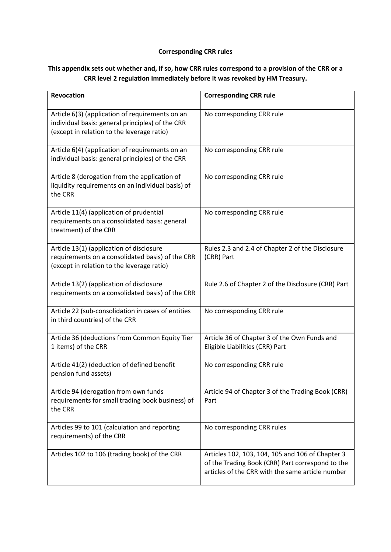## **Corresponding CRR rules**

## **This appendix sets out whether and, if so, how CRR rules correspond to a provision of the CRR or a CRR level 2 regulation immediately before it was revoked by HM Treasury.**

| <b>Revocation</b>                                                                                                                                 | <b>Corresponding CRR rule</b>                                                                                                                            |
|---------------------------------------------------------------------------------------------------------------------------------------------------|----------------------------------------------------------------------------------------------------------------------------------------------------------|
| Article 6(3) (application of requirements on an<br>individual basis: general principles) of the CRR<br>(except in relation to the leverage ratio) | No corresponding CRR rule                                                                                                                                |
| Article 6(4) (application of requirements on an<br>individual basis: general principles) of the CRR                                               | No corresponding CRR rule                                                                                                                                |
| Article 8 (derogation from the application of<br>liquidity requirements on an individual basis) of<br>the CRR                                     | No corresponding CRR rule                                                                                                                                |
| Article 11(4) (application of prudential<br>requirements on a consolidated basis: general<br>treatment) of the CRR                                | No corresponding CRR rule                                                                                                                                |
| Article 13(1) (application of disclosure<br>requirements on a consolidated basis) of the CRR<br>(except in relation to the leverage ratio)        | Rules 2.3 and 2.4 of Chapter 2 of the Disclosure<br>(CRR) Part                                                                                           |
| Article 13(2) (application of disclosure<br>requirements on a consolidated basis) of the CRR                                                      | Rule 2.6 of Chapter 2 of the Disclosure (CRR) Part                                                                                                       |
| Article 22 (sub-consolidation in cases of entities<br>in third countries) of the CRR                                                              | No corresponding CRR rule                                                                                                                                |
| Article 36 (deductions from Common Equity Tier<br>1 items) of the CRR                                                                             | Article 36 of Chapter 3 of the Own Funds and<br>Eligible Liabilities (CRR) Part                                                                          |
| Article 41(2) (deduction of defined benefit<br>pension fund assets)                                                                               | No corresponding CRR rule                                                                                                                                |
| Article 94 (derogation from own funds<br>requirements for small trading book business) of<br>the CRR                                              | Article 94 of Chapter 3 of the Trading Book (CRR)<br>Part                                                                                                |
| Articles 99 to 101 (calculation and reporting<br>requirements) of the CRR                                                                         | No corresponding CRR rules                                                                                                                               |
| Articles 102 to 106 (trading book) of the CRR                                                                                                     | Articles 102, 103, 104, 105 and 106 of Chapter 3<br>of the Trading Book (CRR) Part correspond to the<br>articles of the CRR with the same article number |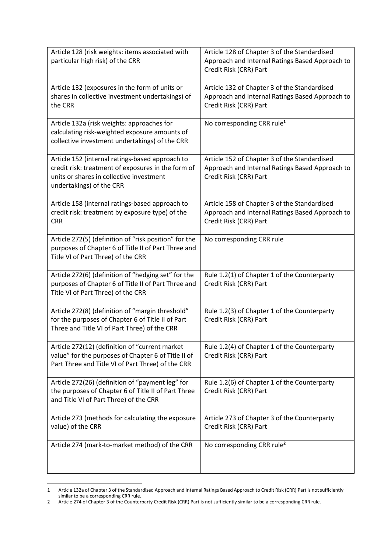| Article 128 (risk weights: items associated with<br>particular high risk) of the CRR                                                                                          | Article 128 of Chapter 3 of the Standardised<br>Approach and Internal Ratings Based Approach to<br>Credit Risk (CRR) Part |
|-------------------------------------------------------------------------------------------------------------------------------------------------------------------------------|---------------------------------------------------------------------------------------------------------------------------|
| Article 132 (exposures in the form of units or<br>shares in collective investment undertakings) of<br>the CRR                                                                 | Article 132 of Chapter 3 of the Standardised<br>Approach and Internal Ratings Based Approach to<br>Credit Risk (CRR) Part |
| Article 132a (risk weights: approaches for<br>calculating risk-weighted exposure amounts of<br>collective investment undertakings) of the CRR                                 | No corresponding CRR rule <sup>1</sup>                                                                                    |
| Article 152 (internal ratings-based approach to<br>credit risk: treatment of exposures in the form of<br>units or shares in collective investment<br>undertakings) of the CRR | Article 152 of Chapter 3 of the Standardised<br>Approach and Internal Ratings Based Approach to<br>Credit Risk (CRR) Part |
| Article 158 (internal ratings-based approach to<br>credit risk: treatment by exposure type) of the<br><b>CRR</b>                                                              | Article 158 of Chapter 3 of the Standardised<br>Approach and Internal Ratings Based Approach to<br>Credit Risk (CRR) Part |
| Article 272(5) (definition of "risk position" for the<br>purposes of Chapter 6 of Title II of Part Three and<br>Title VI of Part Three) of the CRR                            | No corresponding CRR rule                                                                                                 |
| Article 272(6) (definition of "hedging set" for the<br>purposes of Chapter 6 of Title II of Part Three and<br>Title VI of Part Three) of the CRR                              | Rule 1.2(1) of Chapter 1 of the Counterparty<br>Credit Risk (CRR) Part                                                    |
| Article 272(8) (definition of "margin threshold"<br>for the purposes of Chapter 6 of Title II of Part<br>Three and Title VI of Part Three) of the CRR                         | Rule 1.2(3) of Chapter 1 of the Counterparty<br>Credit Risk (CRR) Part                                                    |
| Article 272(12) (definition of "current market<br>value" for the purposes of Chapter 6 of Title II of<br>Part Three and Title VI of Part Three) of the CRR                    | Rule 1.2(4) of Chapter 1 of the Counterparty<br>Credit Risk (CRR) Part                                                    |
| Article 272(26) (definition of "payment leg" for<br>the purposes of Chapter 6 of Title II of Part Three<br>and Title VI of Part Three) of the CRR                             | Rule 1.2(6) of Chapter 1 of the Counterparty<br>Credit Risk (CRR) Part                                                    |
| Article 273 (methods for calculating the exposure<br>value) of the CRR                                                                                                        | Article 273 of Chapter 3 of the Counterparty<br>Credit Risk (CRR) Part                                                    |
| Article 274 (mark-to-market method) of the CRR                                                                                                                                | No corresponding CRR rule <sup>2</sup>                                                                                    |

<sup>1</sup> Article 132a of Chapter 3 of the Standardised Approach and Internal Ratings Based Approach to Credit Risk (CRR) Part is not sufficiently similar to be a corresponding CRR rule.

**.** 

<sup>2</sup> Article 274 of Chapter 3 of the Counterparty Credit Risk (CRR) Part is not sufficiently similar to be a corresponding CRR rule.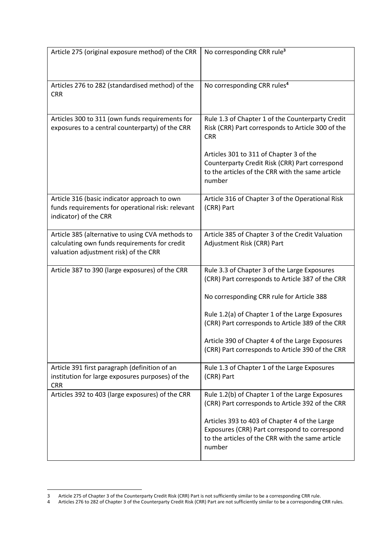| Article 275 (original exposure method) of the CRR                                                                                          | No corresponding CRR rule <sup>3</sup>                                                                                                                                                                                                                                                                                                                      |
|--------------------------------------------------------------------------------------------------------------------------------------------|-------------------------------------------------------------------------------------------------------------------------------------------------------------------------------------------------------------------------------------------------------------------------------------------------------------------------------------------------------------|
| Articles 276 to 282 (standardised method) of the<br><b>CRR</b>                                                                             | No corresponding CRR rules <sup>4</sup>                                                                                                                                                                                                                                                                                                                     |
| Articles 300 to 311 (own funds requirements for<br>exposures to a central counterparty) of the CRR                                         | Rule 1.3 of Chapter 1 of the Counterparty Credit<br>Risk (CRR) Part corresponds to Article 300 of the<br><b>CRR</b><br>Articles 301 to 311 of Chapter 3 of the<br>Counterparty Credit Risk (CRR) Part correspond<br>to the articles of the CRR with the same article<br>number                                                                              |
| Article 316 (basic indicator approach to own<br>funds requirements for operational risk: relevant<br>indicator) of the CRR                 | Article 316 of Chapter 3 of the Operational Risk<br>(CRR) Part                                                                                                                                                                                                                                                                                              |
| Article 385 (alternative to using CVA methods to<br>calculating own funds requirements for credit<br>valuation adjustment risk) of the CRR | Article 385 of Chapter 3 of the Credit Valuation<br>Adjustment Risk (CRR) Part                                                                                                                                                                                                                                                                              |
| Article 387 to 390 (large exposures) of the CRR                                                                                            | Rule 3.3 of Chapter 3 of the Large Exposures<br>(CRR) Part corresponds to Article 387 of the CRR<br>No corresponding CRR rule for Article 388<br>Rule 1.2(a) of Chapter 1 of the Large Exposures<br>(CRR) Part corresponds to Article 389 of the CRR<br>Article 390 of Chapter 4 of the Large Exposures<br>(CRR) Part corresponds to Article 390 of the CRR |
| Article 391 first paragraph (definition of an<br>institution for large exposures purposes) of the<br><b>CRR</b>                            | Rule 1.3 of Chapter 1 of the Large Exposures<br>(CRR) Part                                                                                                                                                                                                                                                                                                  |
| Articles 392 to 403 (large exposures) of the CRR                                                                                           | Rule 1.2(b) of Chapter 1 of the Large Exposures<br>(CRR) Part corresponds to Article 392 of the CRR<br>Articles 393 to 403 of Chapter 4 of the Large<br>Exposures (CRR) Part correspond to correspond<br>to the articles of the CRR with the same article<br>number                                                                                         |

**.** 

<sup>3</sup> Article 275 of Chapter 3 of the Counterparty Credit Risk (CRR) Part is not sufficiently similar to be a corresponding CRR rule.

<sup>4</sup> Articles 276 to 282 of Chapter 3 of the Counterparty Credit Risk (CRR) Part are not sufficiently similar to be a corresponding CRR rules.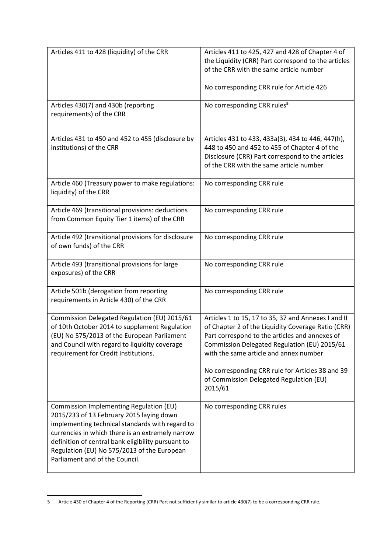| Articles 411 to 428 (liquidity) of the CRR                                                                                                                                                                                                                                                                                        | Articles 411 to 425, 427 and 428 of Chapter 4 of<br>the Liquidity (CRR) Part correspond to the articles<br>of the CRR with the same article number<br>No corresponding CRR rule for Article 426                                                                                                                                                                 |
|-----------------------------------------------------------------------------------------------------------------------------------------------------------------------------------------------------------------------------------------------------------------------------------------------------------------------------------|-----------------------------------------------------------------------------------------------------------------------------------------------------------------------------------------------------------------------------------------------------------------------------------------------------------------------------------------------------------------|
| Articles 430(7) and 430b (reporting<br>requirements) of the CRR                                                                                                                                                                                                                                                                   | No corresponding CRR rules <sup>5</sup>                                                                                                                                                                                                                                                                                                                         |
| Articles 431 to 450 and 452 to 455 (disclosure by<br>institutions) of the CRR                                                                                                                                                                                                                                                     | Articles 431 to 433, 433a(3), 434 to 446, 447(h),<br>448 to 450 and 452 to 455 of Chapter 4 of the<br>Disclosure (CRR) Part correspond to the articles<br>of the CRR with the same article number                                                                                                                                                               |
| Article 460 (Treasury power to make regulations:<br>liquidity) of the CRR                                                                                                                                                                                                                                                         | No corresponding CRR rule                                                                                                                                                                                                                                                                                                                                       |
| Article 469 (transitional provisions: deductions<br>from Common Equity Tier 1 items) of the CRR                                                                                                                                                                                                                                   | No corresponding CRR rule                                                                                                                                                                                                                                                                                                                                       |
| Article 492 (transitional provisions for disclosure<br>of own funds) of the CRR                                                                                                                                                                                                                                                   | No corresponding CRR rule                                                                                                                                                                                                                                                                                                                                       |
| Article 493 (transitional provisions for large<br>exposures) of the CRR                                                                                                                                                                                                                                                           | No corresponding CRR rule                                                                                                                                                                                                                                                                                                                                       |
| Article 501b (derogation from reporting<br>requirements in Article 430) of the CRR                                                                                                                                                                                                                                                | No corresponding CRR rule                                                                                                                                                                                                                                                                                                                                       |
| Commission Delegated Regulation (EU) 2015/61<br>of 10th October 2014 to supplement Regulation<br>(EU) No 575/2013 of the European Parliament<br>and Council with regard to liquidity coverage<br>requirement for Credit Institutions.                                                                                             | Articles 1 to 15, 17 to 35, 37 and Annexes I and II<br>of Chapter 2 of the Liquidity Coverage Ratio (CRR)<br>Part correspond to the articles and annexes of<br>Commission Delegated Regulation (EU) 2015/61<br>with the same article and annex number<br>No corresponding CRR rule for Articles 38 and 39<br>of Commission Delegated Regulation (EU)<br>2015/61 |
| Commission Implementing Regulation (EU)<br>2015/233 of 13 February 2015 laying down<br>implementing technical standards with regard to<br>currencies in which there is an extremely narrow<br>definition of central bank eligibility pursuant to<br>Regulation (EU) No 575/2013 of the European<br>Parliament and of the Council. | No corresponding CRR rules                                                                                                                                                                                                                                                                                                                                      |

**<sup>.</sup>** 5 Article 430 of Chapter 4 of the Reporting (CRR) Part not sufficiently similar to article 430(7) to be a corresponding CRR rule.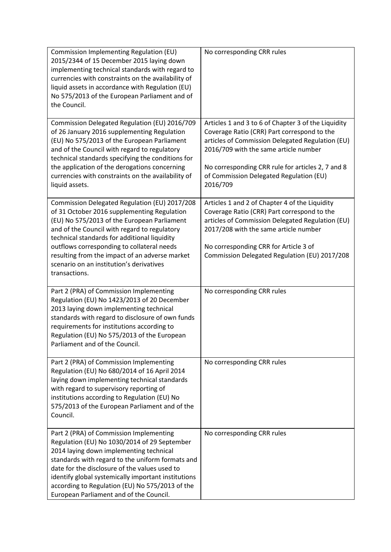| Commission Implementing Regulation (EU)<br>2015/2344 of 15 December 2015 laying down<br>implementing technical standards with regard to<br>currencies with constraints on the availability of<br>liquid assets in accordance with Regulation (EU)<br>No 575/2013 of the European Parliament and of<br>the Council.                                                                                       | No corresponding CRR rules                                                                                                                                                                                                                                                                                  |
|----------------------------------------------------------------------------------------------------------------------------------------------------------------------------------------------------------------------------------------------------------------------------------------------------------------------------------------------------------------------------------------------------------|-------------------------------------------------------------------------------------------------------------------------------------------------------------------------------------------------------------------------------------------------------------------------------------------------------------|
| Commission Delegated Regulation (EU) 2016/709<br>of 26 January 2016 supplementing Regulation<br>(EU) No 575/2013 of the European Parliament<br>and of the Council with regard to regulatory<br>technical standards specifying the conditions for<br>the application of the derogations concerning<br>currencies with constraints on the availability of<br>liquid assets.                                | Articles 1 and 3 to 6 of Chapter 3 of the Liquidity<br>Coverage Ratio (CRR) Part correspond to the<br>articles of Commission Delegated Regulation (EU)<br>2016/709 with the same article number<br>No corresponding CRR rule for articles 2, 7 and 8<br>of Commission Delegated Regulation (EU)<br>2016/709 |
| Commission Delegated Regulation (EU) 2017/208<br>of 31 October 2016 supplementing Regulation<br>(EU) No 575/2013 of the European Parliament<br>and of the Council with regard to regulatory<br>technical standards for additional liquidity<br>outflows corresponding to collateral needs<br>resulting from the impact of an adverse market<br>scenario on an institution's derivatives<br>transactions. | Articles 1 and 2 of Chapter 4 of the Liquidity<br>Coverage Ratio (CRR) Part correspond to the<br>articles of Commission Delegated Regulation (EU)<br>2017/208 with the same article number<br>No corresponding CRR for Article 3 of<br>Commission Delegated Regulation (EU) 2017/208                        |
| Part 2 (PRA) of Commission Implementing<br>Regulation (EU) No 1423/2013 of 20 December<br>2013 laying down implementing technical<br>standards with regard to disclosure of own funds<br>requirements for institutions according to<br>Regulation (EU) No 575/2013 of the European<br>Parliament and of the Council.                                                                                     | No corresponding CRR rules                                                                                                                                                                                                                                                                                  |
| Part 2 (PRA) of Commission Implementing<br>Regulation (EU) No 680/2014 of 16 April 2014<br>laying down implementing technical standards<br>with regard to supervisory reporting of<br>institutions according to Regulation (EU) No<br>575/2013 of the European Parliament and of the<br>Council.                                                                                                         | No corresponding CRR rules                                                                                                                                                                                                                                                                                  |
| Part 2 (PRA) of Commission Implementing<br>Regulation (EU) No 1030/2014 of 29 September<br>2014 laying down implementing technical<br>standards with regard to the uniform formats and<br>date for the disclosure of the values used to<br>identify global systemically important institutions<br>according to Regulation (EU) No 575/2013 of the<br>European Parliament and of the Council.             | No corresponding CRR rules                                                                                                                                                                                                                                                                                  |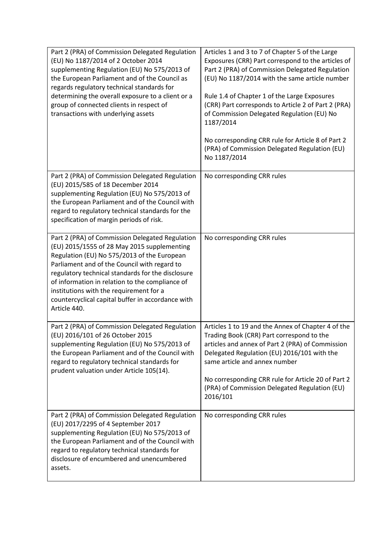| Part 2 (PRA) of Commission Delegated Regulation<br>(EU) No 1187/2014 of 2 October 2014<br>supplementing Regulation (EU) No 575/2013 of<br>the European Parliament and of the Council as<br>regards regulatory technical standards for<br>determining the overall exposure to a client or a<br>group of connected clients in respect of<br>transactions with underlying assets                                         | Articles 1 and 3 to 7 of Chapter 5 of the Large<br>Exposures (CRR) Part correspond to the articles of<br>Part 2 (PRA) of Commission Delegated Regulation<br>(EU) No 1187/2014 with the same article number<br>Rule 1.4 of Chapter 1 of the Large Exposures<br>(CRR) Part corresponds to Article 2 of Part 2 (PRA)<br>of Commission Delegated Regulation (EU) No<br>1187/2014<br>No corresponding CRR rule for Article 8 of Part 2<br>(PRA) of Commission Delegated Regulation (EU)<br>No 1187/2014 |
|-----------------------------------------------------------------------------------------------------------------------------------------------------------------------------------------------------------------------------------------------------------------------------------------------------------------------------------------------------------------------------------------------------------------------|----------------------------------------------------------------------------------------------------------------------------------------------------------------------------------------------------------------------------------------------------------------------------------------------------------------------------------------------------------------------------------------------------------------------------------------------------------------------------------------------------|
| Part 2 (PRA) of Commission Delegated Regulation<br>(EU) 2015/585 of 18 December 2014<br>supplementing Regulation (EU) No 575/2013 of<br>the European Parliament and of the Council with<br>regard to regulatory technical standards for the<br>specification of margin periods of risk.                                                                                                                               | No corresponding CRR rules                                                                                                                                                                                                                                                                                                                                                                                                                                                                         |
| Part 2 (PRA) of Commission Delegated Regulation<br>(EU) 2015/1555 of 28 May 2015 supplementing<br>Regulation (EU) No 575/2013 of the European<br>Parliament and of the Council with regard to<br>regulatory technical standards for the disclosure<br>of information in relation to the compliance of<br>institutions with the requirement for a<br>countercyclical capital buffer in accordance with<br>Article 440. | No corresponding CRR rules                                                                                                                                                                                                                                                                                                                                                                                                                                                                         |
| Part 2 (PRA) of Commission Delegated Regulation<br>(EU) 2016/101 of 26 October 2015<br>supplementing Regulation (EU) No 575/2013 of<br>the European Parliament and of the Council with<br>regard to regulatory technical standards for<br>prudent valuation under Article 105(14).                                                                                                                                    | Articles 1 to 19 and the Annex of Chapter 4 of the<br>Trading Book (CRR) Part correspond to the<br>articles and annex of Part 2 (PRA) of Commission<br>Delegated Regulation (EU) 2016/101 with the<br>same article and annex number<br>No corresponding CRR rule for Article 20 of Part 2<br>(PRA) of Commission Delegated Regulation (EU)<br>2016/101                                                                                                                                             |
| Part 2 (PRA) of Commission Delegated Regulation<br>(EU) 2017/2295 of 4 September 2017<br>supplementing Regulation (EU) No 575/2013 of<br>the European Parliament and of the Council with<br>regard to regulatory technical standards for<br>disclosure of encumbered and unencumbered<br>assets.                                                                                                                      | No corresponding CRR rules                                                                                                                                                                                                                                                                                                                                                                                                                                                                         |